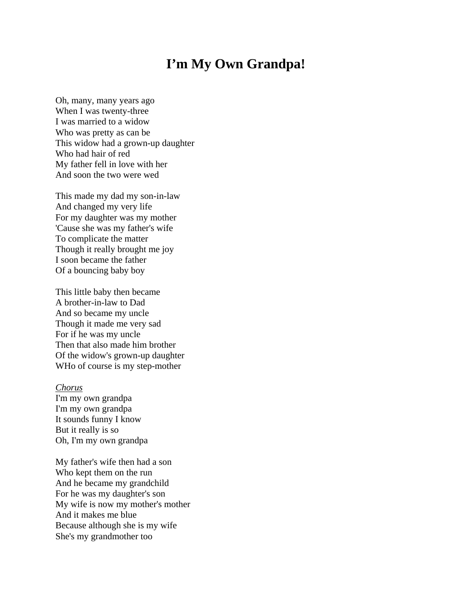## **I'm My Own Grandpa!**

Oh, many, many years ago When I was twenty-three I was married to a widow Who was pretty as can be This widow had a grown-up daughter Who had hair of red My father fell in love with her And soon the two were wed

This made my dad my son-in-law And changed my very life For my daughter was my mother 'Cause she was my father's wife To complicate the matter Though it really brought me joy I soon became the father Of a bouncing baby boy

This little baby then became A brother-in-law to Dad And so became my uncle Though it made me very sad For if he was my uncle Then that also made him brother Of the widow's grown-up daughter WHo of course is my step-mother

## *Chorus*

I'm my own grandpa I'm my own grandpa It sounds funny I know But it really is so Oh, I'm my own grandpa

My father's wife then had a son Who kept them on the run And he became my grandchild For he was my daughter's son My wife is now my mother's mother And it makes me blue Because although she is my wife She's my grandmother too